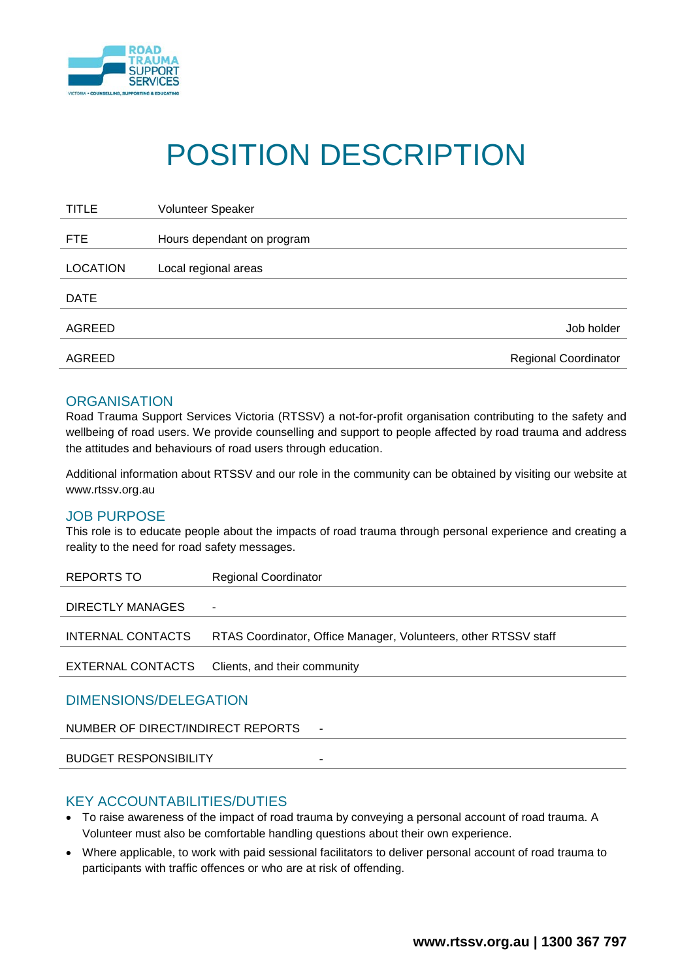

# POSITION DESCRIPTION

| <b>TITLE</b>    | Volunteer Speaker           |
|-----------------|-----------------------------|
| <b>FTE</b>      | Hours dependant on program  |
|                 |                             |
| <b>LOCATION</b> | Local regional areas        |
| <b>DATE</b>     |                             |
| AGREED          | Job holder                  |
| AGREED          | <b>Regional Coordinator</b> |

### **ORGANISATION**

Road Trauma Support Services Victoria (RTSSV) a not-for-profit organisation contributing to the safety and wellbeing of road users. We provide counselling and support to people affected by road trauma and address the attitudes and behaviours of road users through education.

Additional information about RTSSV and our role in the community can be obtained by visiting our website at www.rtssv.org.au

## JOB PURPOSE

This role is to educate people about the impacts of road trauma through personal experience and creating a reality to the need for road safety messages.

| REPORTS TO                             | <b>Regional Coordinator</b>                                     |  |  |  |  |
|----------------------------------------|-----------------------------------------------------------------|--|--|--|--|
| DIRECTLY MANAGES                       | ۰                                                               |  |  |  |  |
| INTERNAL CONTACTS                      | RTAS Coordinator, Office Manager, Volunteers, other RTSSV staff |  |  |  |  |
| EXTERNAL CONTACTS                      | Clients, and their community                                    |  |  |  |  |
| DIMENSIONS/DELEGATION                  |                                                                 |  |  |  |  |
| NUMBER OF DIRECT/INDIRECT REPORTS<br>٠ |                                                                 |  |  |  |  |

BUDGET RESPONSIBILITY

#### KEY ACCOUNTABILITIES/DUTIES

- To raise awareness of the impact of road trauma by conveying a personal account of road trauma. A Volunteer must also be comfortable handling questions about their own experience.
- Where applicable, to work with paid sessional facilitators to deliver personal account of road trauma to participants with traffic offences or who are at risk of offending.